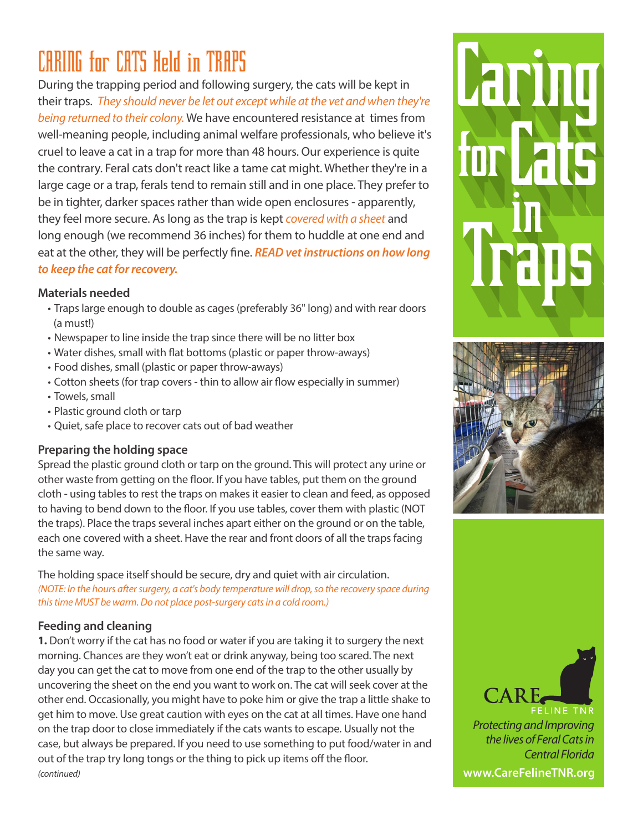## CARING for CATS Held in TRAPS

During the trapping period and following surgery, the cats will be kept in their traps. *They should never be let out except while at the vet and when they're being returned to their colony.* We have encountered resistance at times from well-meaning people, including animal welfare professionals, who believe it's cruel to leave a cat in a trap for more than 48 hours. Our experience is quite the contrary. Feral cats don't react like a tame cat might. Whether they're in a large cage or a trap, ferals tend to remain still and in one place. They prefer to be in tighter, darker spaces rather than wide open enclosures - apparently, they feel more secure. As long as the trap is kept *covered with a sheet* and long enough (we recommend 36 inches) for them to huddle at one end and eat at the other, they will be perfectly fine. *READ vet instructions on how long to keep the cat for recovery.*

## **Materials needed**

- Traps large enough to double as cages (preferably 36" long) and with rear doors (a must!)
- Newspaper to line inside the trap since there will be no litter box
- Water dishes, small with flat bottoms (plastic or paper throw-aways)
- Food dishes, small (plastic or paper throw-aways)
- Cotton sheets (for trap covers thin to allow air flow especially in summer)
- Towels, small
- Plastic ground cloth or tarp
- Quiet, safe place to recover cats out of bad weather

## **Preparing the holding space**

Spread the plastic ground cloth or tarp on the ground. This will protect any urine or other waste from getting on the floor. If you have tables, put them on the ground cloth - using tables to rest the traps on makes it easier to clean and feed, as opposed to having to bend down to the floor. If you use tables, cover them with plastic (NOT the traps). Place the traps several inches apart either on the ground or on the table, each one covered with a sheet. Have the rear and front doors of all the traps facing the same way.

The holding space itself should be secure, dry and quiet with air circulation. *(NOTE: In the hours after surgery, a cat's body temperature will drop, so the recovery space during this time MUST be warm. Do not place post-surgery cats in a cold room.)*

## **Feeding and cleaning**

**1.** Don't worry if the cat has no food or water if you are taking it to surgery the next morning. Chances are they won't eat or drink anyway, being too scared. The next day you can get the cat to move from one end of the trap to the other usually by uncovering the sheet on the end you want to work on. The cat will seek cover at the other end. Occasionally, you might have to poke him or give the trap a little shake to get him to move. Use great caution with eyes on the cat at all times. Have one hand on the trap door to close immediately if the cats wants to escape. Usually not the case, but always be prepared. If you need to use something to put food/water in and out of the trap try long tongs or the thing to pick up items off the floor. *(continued)*